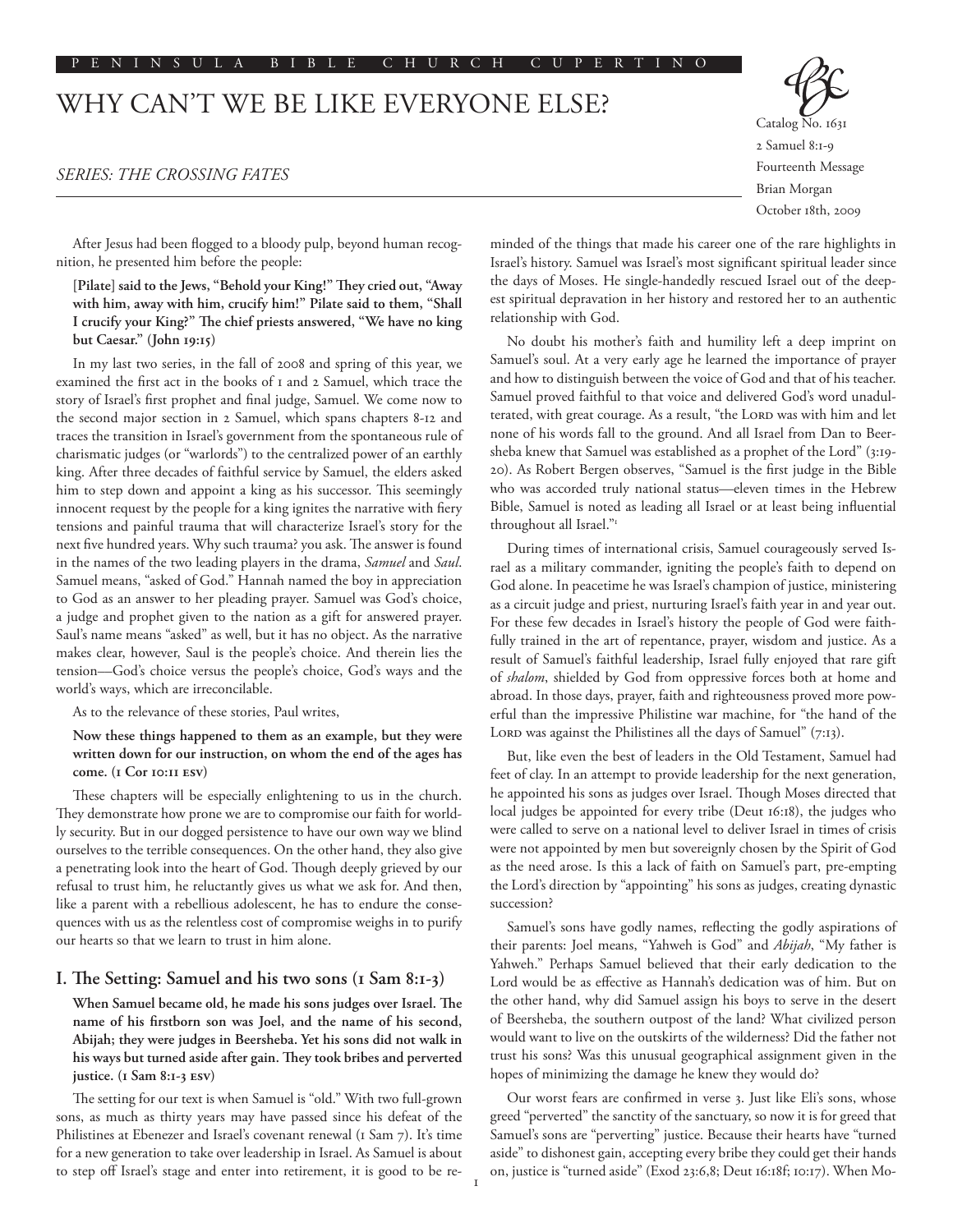#### P E N I N S U L A B I B L E C H U R C H C U P E R T I N O

# WHY CAN'T WE BE LIKE EVERYONE ELSE?

## *SERIES: THE CROSSING FATES*



Brian Morgan October 18th, 2009

After Jesus had been flogged to a bloody pulp, beyond human recognition, he presented him before the people:

**[Pilate] said to the Jews, "Behold your King!" They cried out, "Away with him, away with him, crucify him!" Pilate said to them, "Shall I crucify your King?" The chief priests answered, "We have no king but Caesar." (John 19:15)**

In my last two series, in the fall of 2008 and spring of this year, we examined the first act in the books of 1 and 2 Samuel, which trace the story of Israel's first prophet and final judge, Samuel. We come now to the second major section in 2 Samuel, which spans chapters 8-12 and traces the transition in Israel's government from the spontaneous rule of charismatic judges (or "warlords") to the centralized power of an earthly king. After three decades of faithful service by Samuel, the elders asked him to step down and appoint a king as his successor. This seemingly innocent request by the people for a king ignites the narrative with fiery tensions and painful trauma that will characterize Israel's story for the next five hundred years. Why such trauma? you ask. The answer is found in the names of the two leading players in the drama, *Samuel* and *Saul*. Samuel means, "asked of God." Hannah named the boy in appreciation to God as an answer to her pleading prayer. Samuel was God's choice, a judge and prophet given to the nation as a gift for answered prayer. Saul's name means "asked" as well, but it has no object. As the narrative makes clear, however, Saul is the people's choice. And therein lies the tension––God's choice versus the people's choice, God's ways and the world's ways, which are irreconcilable.

As to the relevance of these stories, Paul writes,

# **Now these things happened to them as an example, but they were written down for our instruction, on whom the end of the ages has come. (1 Cor 10:11 esv)**

These chapters will be especially enlightening to us in the church. They demonstrate how prone we are to compromise our faith for worldly security. But in our dogged persistence to have our own way we blind ourselves to the terrible consequences. On the other hand, they also give a penetrating look into the heart of God. Though deeply grieved by our refusal to trust him, he reluctantly gives us what we ask for. And then, like a parent with a rebellious adolescent, he has to endure the consequences with us as the relentless cost of compromise weighs in to purify our hearts so that we learn to trust in him alone.

# **I. The Setting: Samuel and his two sons (1 Sam 8:1-3)**

**When Samuel became old, he made his sons judges over Israel. The name of his firstborn son was Joel, and the name of his second, Abijah; they were judges in Beersheba. Yet his sons did not walk in his ways but turned aside after gain. They took bribes and perverted justice. (1 Sam 8:1-3 esv)**

The setting for our text is when Samuel is "old." With two full-grown sons, as much as thirty years may have passed since his defeat of the Philistines at Ebenezer and Israel's covenant renewal (1 Sam 7). It's time for a new generation to take over leadership in Israel. As Samuel is about to step off Israel's stage and enter into retirement, it is good to be re-

minded of the things that made his career one of the rare highlights in Israel's history. Samuel was Israel's most significant spiritual leader since the days of Moses. He single-handedly rescued Israel out of the deepest spiritual depravation in her history and restored her to an authentic relationship with God.

No doubt his mother's faith and humility left a deep imprint on Samuel's soul. At a very early age he learned the importance of prayer and how to distinguish between the voice of God and that of his teacher. Samuel proved faithful to that voice and delivered God's word unadulterated, with great courage. As a result, "the LORD was with him and let none of his words fall to the ground. And all Israel from Dan to Beersheba knew that Samuel was established as a prophet of the Lord" (3:19- 20). As Robert Bergen observes, "Samuel is the first judge in the Bible who was accorded truly national status––eleven times in the Hebrew Bible, Samuel is noted as leading all Israel or at least being influential throughout all Israel."1

During times of international crisis, Samuel courageously served Israel as a military commander, igniting the people's faith to depend on God alone. In peacetime he was Israel's champion of justice, ministering as a circuit judge and priest, nurturing Israel's faith year in and year out. For these few decades in Israel's history the people of God were faithfully trained in the art of repentance, prayer, wisdom and justice. As a result of Samuel's faithful leadership, Israel fully enjoyed that rare gift of *shalom*, shielded by God from oppressive forces both at home and abroad. In those days, prayer, faith and righteousness proved more powerful than the impressive Philistine war machine, for "the hand of the LORD was against the Philistines all the days of Samuel" (7:13).

But, like even the best of leaders in the Old Testament, Samuel had feet of clay. In an attempt to provide leadership for the next generation, he appointed his sons as judges over Israel. Though Moses directed that local judges be appointed for every tribe (Deut 16:18), the judges who were called to serve on a national level to deliver Israel in times of crisis were not appointed by men but sovereignly chosen by the Spirit of God as the need arose. Is this a lack of faith on Samuel's part, pre-empting the Lord's direction by "appointing" his sons as judges, creating dynastic succession?

Samuel's sons have godly names, reflecting the godly aspirations of their parents: Joel means, "Yahweh is God" and *Abijah*, "My father is Yahweh." Perhaps Samuel believed that their early dedication to the Lord would be as effective as Hannah's dedication was of him. But on the other hand, why did Samuel assign his boys to serve in the desert of Beersheba, the southern outpost of the land? What civilized person would want to live on the outskirts of the wilderness? Did the father not trust his sons? Was this unusual geographical assignment given in the hopes of minimizing the damage he knew they would do?

Our worst fears are confirmed in verse 3. Just like Eli's sons, whose greed "perverted" the sanctity of the sanctuary, so now it is for greed that Samuel's sons are "perverting" justice. Because their hearts have "turned aside" to dishonest gain, accepting every bribe they could get their hands on, justice is "turned aside" (Exod 23:6,8; Deut 16:18f; 10:17). When Mo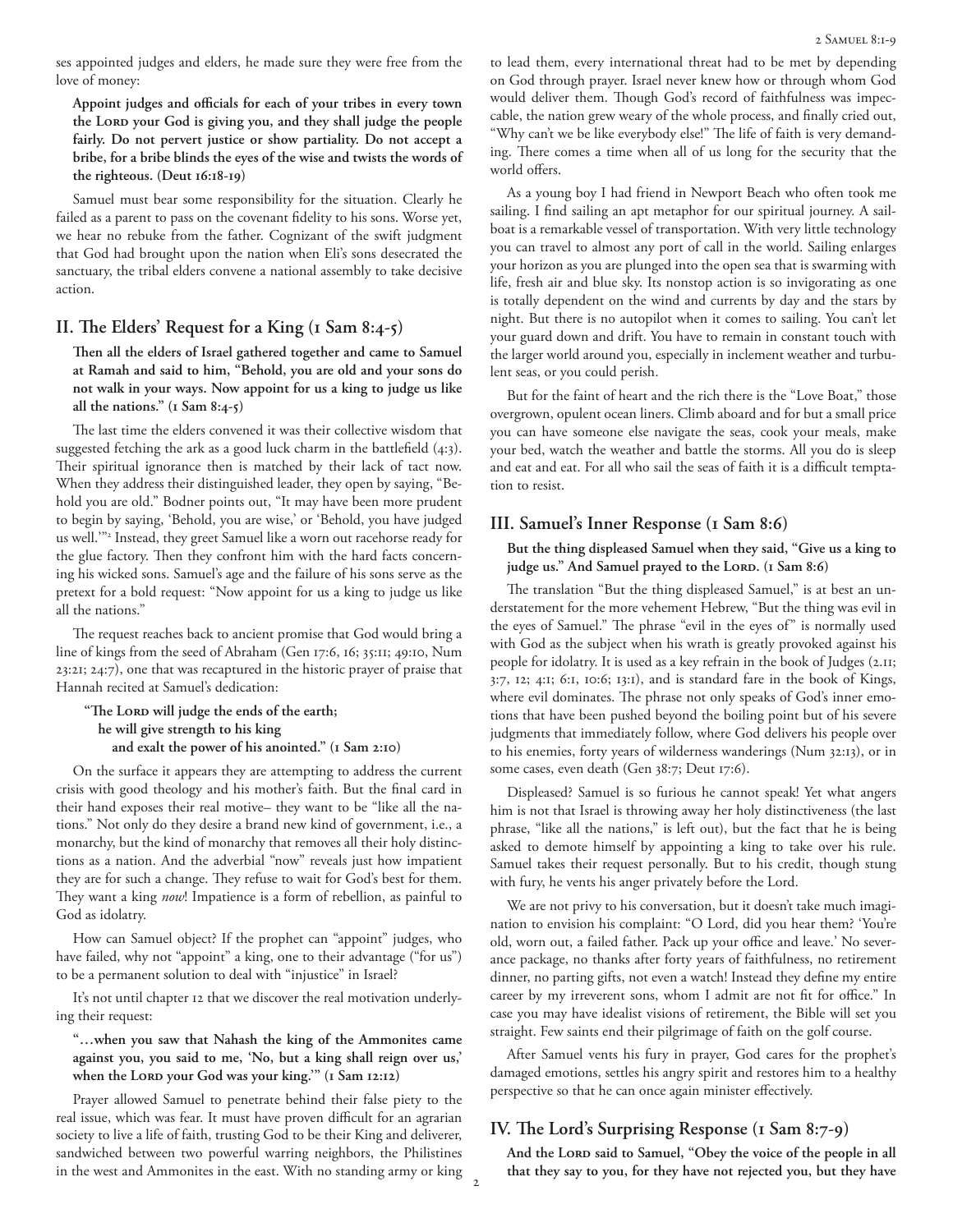ses appointed judges and elders, he made sure they were free from the love of money:

**Appoint judges and officials for each of your tribes in every town**  the LORD your God is giving you, and they shall judge the people **fairly. Do not pervert justice or show partiality. Do not accept a bribe, for a bribe blinds the eyes of the wise and twists the words of the righteous. (Deut 16:18-19)**

Samuel must bear some responsibility for the situation. Clearly he failed as a parent to pass on the covenant fidelity to his sons. Worse yet, we hear no rebuke from the father. Cognizant of the swift judgment that God had brought upon the nation when Eli's sons desecrated the sanctuary, the tribal elders convene a national assembly to take decisive action.

# **II. The Elders' Request for a King (1 Sam 8:4-5)**

**Then all the elders of Israel gathered together and came to Samuel at Ramah and said to him, "Behold, you are old and your sons do not walk in your ways. Now appoint for us a king to judge us like all the nations." (1 Sam 8:4-5)**

The last time the elders convened it was their collective wisdom that suggested fetching the ark as a good luck charm in the battlefield (4:3). Their spiritual ignorance then is matched by their lack of tact now. When they address their distinguished leader, they open by saying, "Behold you are old." Bodner points out, "It may have been more prudent to begin by saying, 'Behold, you are wise,' or 'Behold, you have judged us well.'"2 Instead, they greet Samuel like a worn out racehorse ready for the glue factory. Then they confront him with the hard facts concerning his wicked sons. Samuel's age and the failure of his sons serve as the pretext for a bold request: "Now appoint for us a king to judge us like all the nations."

The request reaches back to ancient promise that God would bring a line of kings from the seed of Abraham (Gen 17:6, 16; 35:11; 49:10, Num 23:21; 24:7), one that was recaptured in the historic prayer of praise that Hannah recited at Samuel's dedication:

**"The Lord will judge the ends of the earth; he will give strength to his king and exalt the power of his anointed." (1 Sam 2:10)**

On the surface it appears they are attempting to address the current crisis with good theology and his mother's faith. But the final card in their hand exposes their real motive– they want to be "like all the nations." Not only do they desire a brand new kind of government, i.e., a monarchy, but the kind of monarchy that removes all their holy distinctions as a nation. And the adverbial "now" reveals just how impatient they are for such a change. They refuse to wait for God's best for them. They want a king *now*! Impatience is a form of rebellion, as painful to God as idolatry.

How can Samuel object? If the prophet can "appoint" judges, who have failed, why not "appoint" a king, one to their advantage ("for us") to be a permanent solution to deal with "injustice" in Israel?

It's not until chapter 12 that we discover the real motivation underlying their request:

**"…when you saw that Nahash the king of the Ammonites came against you, you said to me, 'No, but a king shall reign over us,'**  when the Lord your God was your king." (1 Sam 12:12)

Prayer allowed Samuel to penetrate behind their false piety to the real issue, which was fear. It must have proven difficult for an agrarian society to live a life of faith, trusting God to be their King and deliverer, sandwiched between two powerful warring neighbors, the Philistines in the west and Ammonites in the east. With no standing army or king

to lead them, every international threat had to be met by depending on God through prayer. Israel never knew how or through whom God would deliver them. Though God's record of faithfulness was impeccable, the nation grew weary of the whole process, and finally cried out, "Why can't we be like everybody else!" The life of faith is very demanding. There comes a time when all of us long for the security that the world offers.

As a young boy I had friend in Newport Beach who often took me sailing. I find sailing an apt metaphor for our spiritual journey. A sailboat is a remarkable vessel of transportation. With very little technology you can travel to almost any port of call in the world. Sailing enlarges your horizon as you are plunged into the open sea that is swarming with life, fresh air and blue sky. Its nonstop action is so invigorating as one is totally dependent on the wind and currents by day and the stars by night. But there is no autopilot when it comes to sailing. You can't let your guard down and drift. You have to remain in constant touch with the larger world around you, especially in inclement weather and turbulent seas, or you could perish.

But for the faint of heart and the rich there is the "Love Boat," those overgrown, opulent ocean liners. Climb aboard and for but a small price you can have someone else navigate the seas, cook your meals, make your bed, watch the weather and battle the storms. All you do is sleep and eat and eat. For all who sail the seas of faith it is a difficult temptation to resist.

# **III. Samuel's Inner Response (1 Sam 8:6)**

## **But the thing displeased Samuel when they said, "Give us a king to**  judge us." And Samuel prayed to the LORD. (1 Sam 8:6)

The translation "But the thing displeased Samuel," is at best an understatement for the more vehement Hebrew, "But the thing was evil in the eyes of Samuel." The phrase "evil in the eyes of" is normally used with God as the subject when his wrath is greatly provoked against his people for idolatry. It is used as a key refrain in the book of Judges (2.11; 3:7, 12; 4:1; 6:1, 10:6; 13:1), and is standard fare in the book of Kings, where evil dominates. The phrase not only speaks of God's inner emotions that have been pushed beyond the boiling point but of his severe judgments that immediately follow, where God delivers his people over to his enemies, forty years of wilderness wanderings (Num 32:13), or in some cases, even death (Gen 38:7; Deut 17:6).

Displeased? Samuel is so furious he cannot speak! Yet what angers him is not that Israel is throwing away her holy distinctiveness (the last phrase, "like all the nations," is left out), but the fact that he is being asked to demote himself by appointing a king to take over his rule. Samuel takes their request personally. But to his credit, though stung with fury, he vents his anger privately before the Lord.

We are not privy to his conversation, but it doesn't take much imagination to envision his complaint: "O Lord, did you hear them? 'You're old, worn out, a failed father. Pack up your office and leave.' No severance package, no thanks after forty years of faithfulness, no retirement dinner, no parting gifts, not even a watch! Instead they define my entire career by my irreverent sons, whom I admit are not fit for office." In case you may have idealist visions of retirement, the Bible will set you straight. Few saints end their pilgrimage of faith on the golf course.

After Samuel vents his fury in prayer, God cares for the prophet's damaged emotions, settles his angry spirit and restores him to a healthy perspective so that he can once again minister effectively.

# **IV. The Lord's Surprising Response (1 Sam 8:7-9)**

And the LORD said to Samuel, "Obey the voice of the people in all **that they say to you, for they have not rejected you, but they have**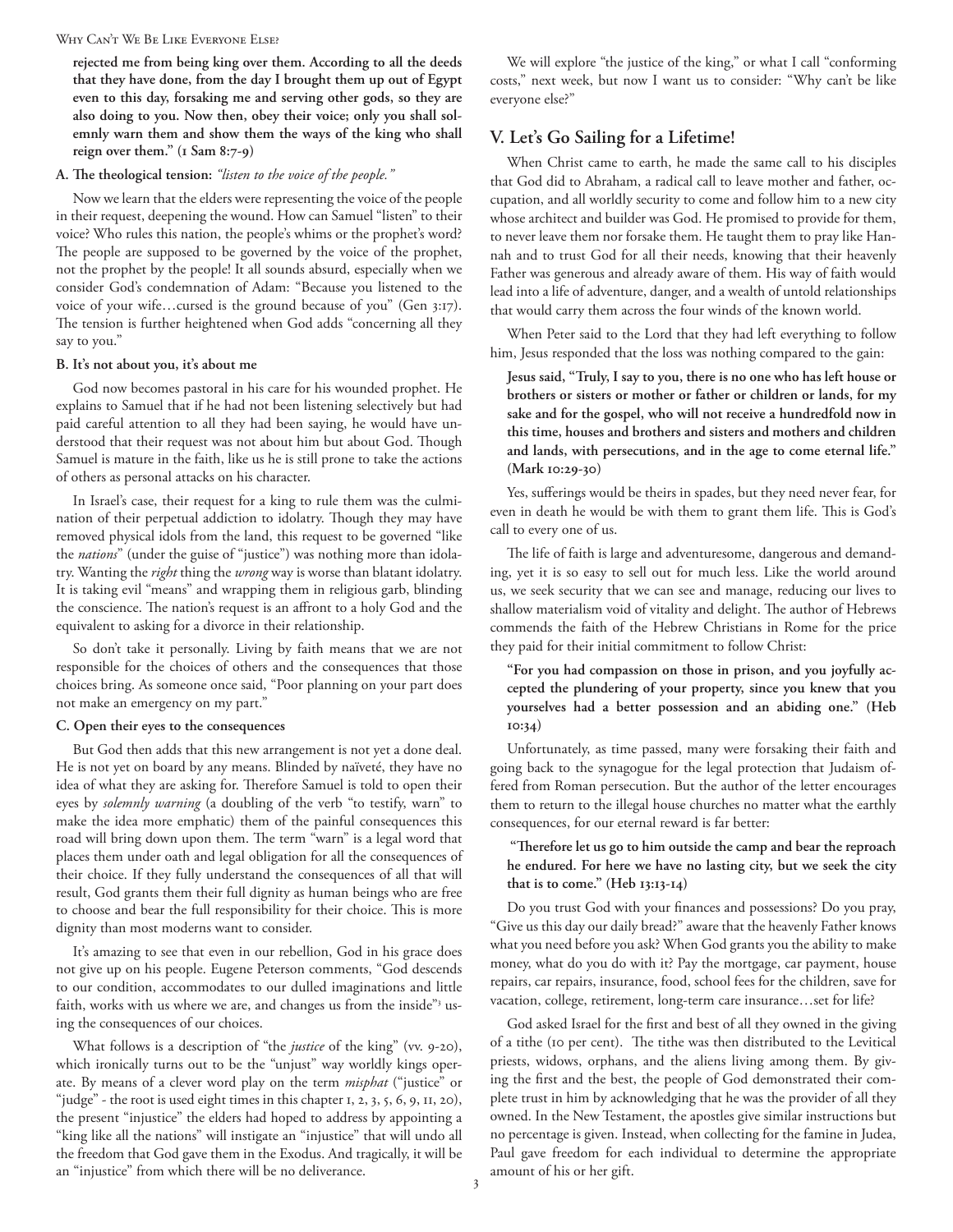#### Why Can't We Be Like Everyone Else?

**rejected me from being king over them. According to all the deeds that they have done, from the day I brought them up out of Egypt even to this day, forsaking me and serving other gods, so they are also doing to you. Now then, obey their voice; only you shall solemnly warn them and show them the ways of the king who shall reign over them." (1 Sam 8:7-9)**

## **A. The theological tension:** *"listen to the voice of the people."*

Now we learn that the elders were representing the voice of the people in their request, deepening the wound. How can Samuel "listen" to their voice? Who rules this nation, the people's whims or the prophet's word? The people are supposed to be governed by the voice of the prophet, not the prophet by the people! It all sounds absurd, especially when we consider God's condemnation of Adam: "Because you listened to the voice of your wife…cursed is the ground because of you" (Gen 3:17). The tension is further heightened when God adds "concerning all they say to you."

### **B. It's not about you, it's about me**

God now becomes pastoral in his care for his wounded prophet. He explains to Samuel that if he had not been listening selectively but had paid careful attention to all they had been saying, he would have understood that their request was not about him but about God. Though Samuel is mature in the faith, like us he is still prone to take the actions of others as personal attacks on his character.

In Israel's case, their request for a king to rule them was the culmination of their perpetual addiction to idolatry. Though they may have removed physical idols from the land, this request to be governed "like the *nations*" (under the guise of "justice") was nothing more than idolatry. Wanting the *right* thing the *wrong* way is worse than blatant idolatry. It is taking evil "means" and wrapping them in religious garb, blinding the conscience. The nation's request is an affront to a holy God and the equivalent to asking for a divorce in their relationship.

So don't take it personally. Living by faith means that we are not responsible for the choices of others and the consequences that those choices bring. As someone once said, "Poor planning on your part does not make an emergency on my part."

#### **C. Open their eyes to the consequences**

But God then adds that this new arrangement is not yet a done deal. He is not yet on board by any means. Blinded by naïveté, they have no idea of what they are asking for. Therefore Samuel is told to open their eyes by *solemnly warning* (a doubling of the verb "to testify, warn" to make the idea more emphatic) them of the painful consequences this road will bring down upon them. The term "warn" is a legal word that places them under oath and legal obligation for all the consequences of their choice. If they fully understand the consequences of all that will result, God grants them their full dignity as human beings who are free to choose and bear the full responsibility for their choice. This is more dignity than most moderns want to consider.

It's amazing to see that even in our rebellion, God in his grace does not give up on his people. Eugene Peterson comments, "God descends to our condition, accommodates to our dulled imaginations and little faith, works with us where we are, and changes us from the inside"<sup>3</sup> using the consequences of our choices.

What follows is a description of "the *justice* of the king" (vv. 9-20), which ironically turns out to be the "unjust" way worldly kings operate. By means of a clever word play on the term *misphat* ("justice" or "judge" - the root is used eight times in this chapter  $1, 2, 3, 5, 6, 9, 11, 20$ ), the present "injustice" the elders had hoped to address by appointing a "king like all the nations" will instigate an "injustice" that will undo all the freedom that God gave them in the Exodus. And tragically, it will be an "injustice" from which there will be no deliverance.

We will explore "the justice of the king," or what I call "conforming costs," next week, but now I want us to consider: "Why can't be like everyone else?"

# **V. Let's Go Sailing for a Lifetime!**

When Christ came to earth, he made the same call to his disciples that God did to Abraham, a radical call to leave mother and father, occupation, and all worldly security to come and follow him to a new city whose architect and builder was God. He promised to provide for them, to never leave them nor forsake them. He taught them to pray like Hannah and to trust God for all their needs, knowing that their heavenly Father was generous and already aware of them. His way of faith would lead into a life of adventure, danger, and a wealth of untold relationships that would carry them across the four winds of the known world.

When Peter said to the Lord that they had left everything to follow him, Jesus responded that the loss was nothing compared to the gain:

**Jesus said, "Truly, I say to you, there is no one who has left house or brothers or sisters or mother or father or children or lands, for my sake and for the gospel, who will not receive a hundredfold now in this time, houses and brothers and sisters and mothers and children and lands, with persecutions, and in the age to come eternal life." (Mark 10:29-30)**

Yes, sufferings would be theirs in spades, but they need never fear, for even in death he would be with them to grant them life. This is God's call to every one of us.

The life of faith is large and adventuresome, dangerous and demanding, yet it is so easy to sell out for much less. Like the world around us, we seek security that we can see and manage, reducing our lives to shallow materialism void of vitality and delight. The author of Hebrews commends the faith of the Hebrew Christians in Rome for the price they paid for their initial commitment to follow Christ:

**"For you had compassion on those in prison, and you joyfully accepted the plundering of your property, since you knew that you yourselves had a better possession and an abiding one." (Heb 10:34)**

Unfortunately, as time passed, many were forsaking their faith and going back to the synagogue for the legal protection that Judaism offered from Roman persecution. But the author of the letter encourages them to return to the illegal house churches no matter what the earthly consequences, for our eternal reward is far better:

# **"Therefore let us go to him outside the camp and bear the reproach he endured. For here we have no lasting city, but we seek the city that is to come." (Heb 13:13-14)**

Do you trust God with your finances and possessions? Do you pray, "Give us this day our daily bread?" aware that the heavenly Father knows what you need before you ask? When God grants you the ability to make money, what do you do with it? Pay the mortgage, car payment, house repairs, car repairs, insurance, food, school fees for the children, save for vacation, college, retirement, long-term care insurance…set for life?

God asked Israel for the first and best of all they owned in the giving of a tithe (10 per cent). The tithe was then distributed to the Levitical priests, widows, orphans, and the aliens living among them. By giving the first and the best, the people of God demonstrated their complete trust in him by acknowledging that he was the provider of all they owned. In the New Testament, the apostles give similar instructions but no percentage is given. Instead, when collecting for the famine in Judea, Paul gave freedom for each individual to determine the appropriate amount of his or her gift.